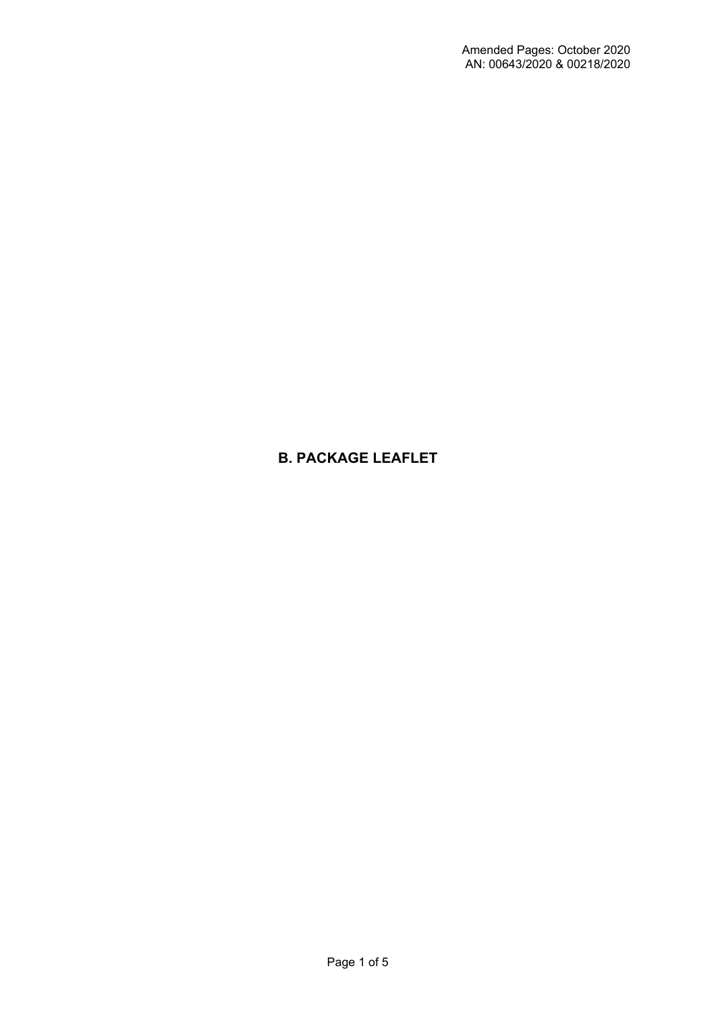# **B. PACKAGE LEAFLET**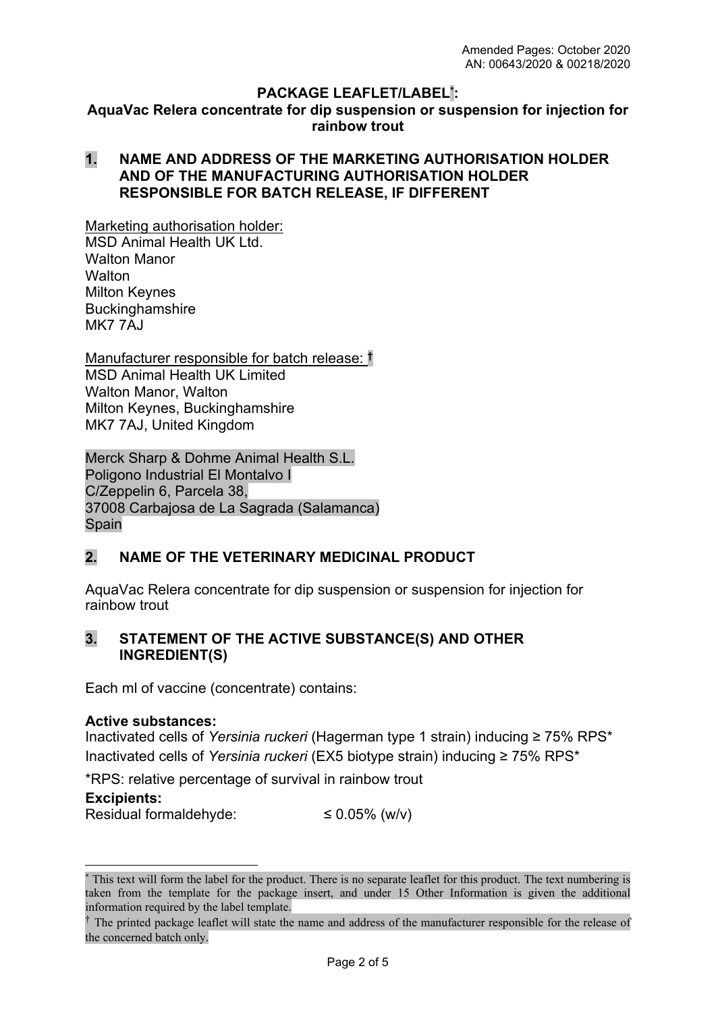#### **PACKAGE LEAFLET/LABEL\* : AquaVac Relera concentrate for dip suspension or suspension for injection for rainbow trout**

### **1. NAME AND ADDRESS OF THE MARKETING AUTHORISATION HOLDER AND OF THE MANUFACTURING AUTHORISATION HOLDER RESPONSIBLE FOR BATCH RELEASE, IF DIFFERENT**

Marketing authorisation holder:

MSD Animal Health UK Ltd. Walton Manor **Walton** Milton Keynes **Buckinghamshire** MK7 7AJ

Manufacturer responsible for batch release: **†** MSD Animal Health UK Limited Walton Manor, Walton Milton Keynes, Buckinghamshire MK7 7AJ, United Kingdom

Merck Sharp & Dohme Animal Health S.L. Poligono Industrial El Montalvo I C/Zeppelin 6, Parcela 38, 37008 Carbajosa de La Sagrada (Salamanca) Spain

## **2. NAME OF THE VETERINARY MEDICINAL PRODUCT**

AquaVac Relera concentrate for dip suspension or suspension for injection for rainbow trout

### **3. STATEMENT OF THE ACTIVE SUBSTANCE(S) AND OTHER INGREDIENT(S)**

Each ml of vaccine (concentrate) contains:

#### **Active substances:**

Inactivated cells of *Yersinia ruckeri* (Hagerman type 1 strain) inducing ≥ 75% RPS\* Inactivated cells of *Yersinia ruckeri* (EX5 biotype strain) inducing ≥ 75% RPS\*

\*RPS: relative percentage of survival in rainbow trout

#### **Excipients:**

Residual formaldehyde:  $\leq 0.05\%$  (w/v)

<sup>\*</sup> This text will form the label for the product. There is no separate leaflet for this product. The text numbering is taken from the template for the package insert, and under 15 Other Information is given the additional information required by the label template.

<sup>&</sup>lt;sup>†</sup> The printed package leaflet will state the name and address of the manufacturer responsible for the release of the concerned batch only.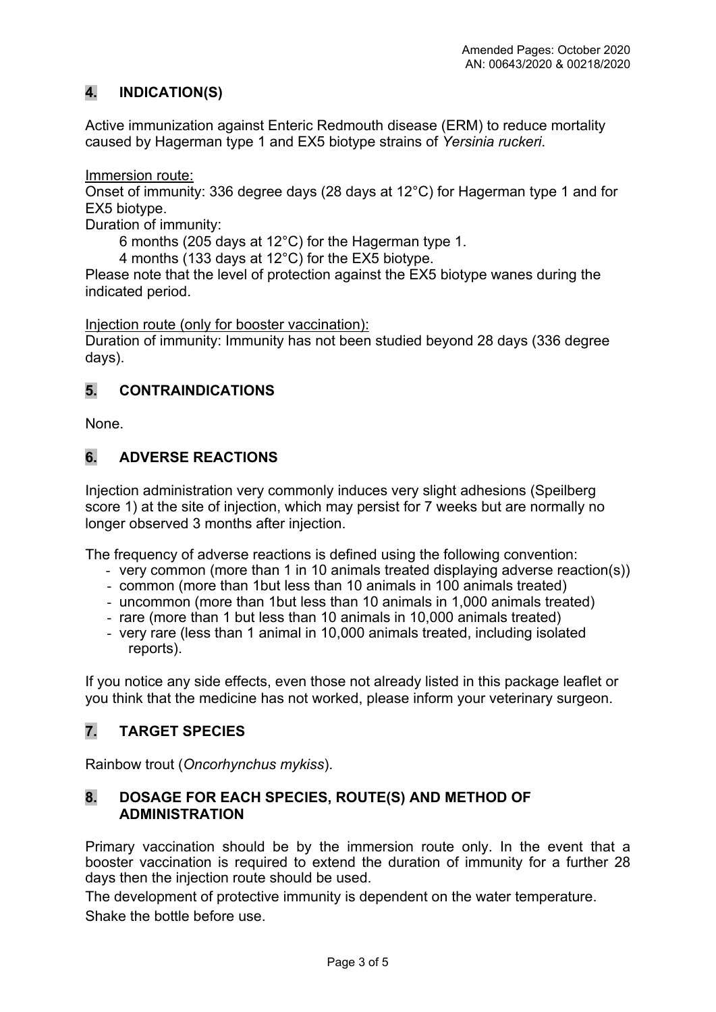# **4. INDICATION(S)**

Active immunization against Enteric Redmouth disease (ERM) to reduce mortality caused by Hagerman type 1 and EX5 biotype strains of *Yersinia ruckeri*.

Immersion route:

Onset of immunity: 336 degree days (28 days at 12°C) for Hagerman type 1 and for EX5 biotype.

Duration of immunity:

6 months (205 days at 12°C) for the Hagerman type 1.

4 months (133 days at 12°C) for the EX5 biotype.

Please note that the level of protection against the EX5 biotype wanes during the indicated period.

Injection route (only for booster vaccination):

Duration of immunity: Immunity has not been studied beyond 28 days (336 degree days).

## **5. CONTRAINDICATIONS**

None.

## **6. ADVERSE REACTIONS**

Injection administration very commonly induces very slight adhesions (Speilberg score 1) at the site of injection, which may persist for 7 weeks but are normally no longer observed 3 months after injection.

The frequency of adverse reactions is defined using the following convention:

- very common (more than 1 in 10 animals treated displaying adverse reaction(s))
- common (more than 1but less than 10 animals in 100 animals treated)
- uncommon (more than 1but less than 10 animals in 1,000 animals treated)
- rare (more than 1 but less than 10 animals in 10,000 animals treated)
- very rare (less than 1 animal in 10,000 animals treated, including isolated reports).

If you notice any side effects, even those not already listed in this package leaflet or you think that the medicine has not worked, please inform your veterinary surgeon.

# **7. TARGET SPECIES**

Rainbow trout (*Oncorhynchus mykiss*).

### **8. DOSAGE FOR EACH SPECIES, ROUTE(S) AND METHOD OF ADMINISTRATION**

Primary vaccination should be by the immersion route only. In the event that a booster vaccination is required to extend the duration of immunity for a further 28 days then the injection route should be used.

The development of protective immunity is dependent on the water temperature. Shake the bottle before use.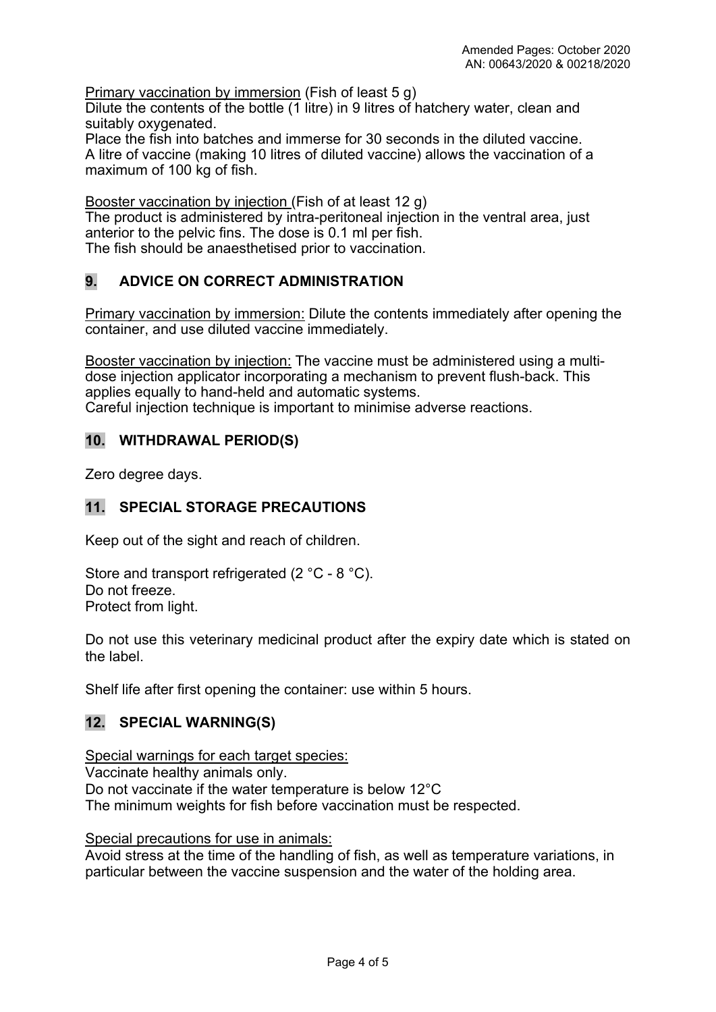Primary vaccination by immersion (Fish of least 5 g)

Dilute the contents of the bottle (1 litre) in 9 litres of hatchery water, clean and suitably oxygenated.

Place the fish into batches and immerse for 30 seconds in the diluted vaccine. A litre of vaccine (making 10 litres of diluted vaccine) allows the vaccination of a maximum of 100 kg of fish.

Booster vaccination by injection (Fish of at least 12 g)

The product is administered by intra-peritoneal injection in the ventral area, just anterior to the pelvic fins. The dose is 0.1 ml per fish. The fish should be anaesthetised prior to vaccination.

# **9. ADVICE ON CORRECT ADMINISTRATION**

Primary vaccination by immersion: Dilute the contents immediately after opening the container, and use diluted vaccine immediately.

Booster vaccination by injection: The vaccine must be administered using a multidose injection applicator incorporating a mechanism to prevent flush-back. This applies equally to hand-held and automatic systems. Careful injection technique is important to minimise adverse reactions.

### **10. WITHDRAWAL PERIOD(S)**

Zero degree days.

### **11. SPECIAL STORAGE PRECAUTIONS**

Keep out of the sight and reach of children.

Store and transport refrigerated (2 °C - 8 °C). Do not freeze. Protect from light.

Do not use this veterinary medicinal product after the expiry date which is stated on the label.

Shelf life after first opening the container: use within 5 hours.

### **12. SPECIAL WARNING(S)**

Special warnings for each target species: Vaccinate healthy animals only. Do not vaccinate if the water temperature is below 12°C The minimum weights for fish before vaccination must be respected.

Special precautions for use in animals:

Avoid stress at the time of the handling of fish, as well as temperature variations, in particular between the vaccine suspension and the water of the holding area.